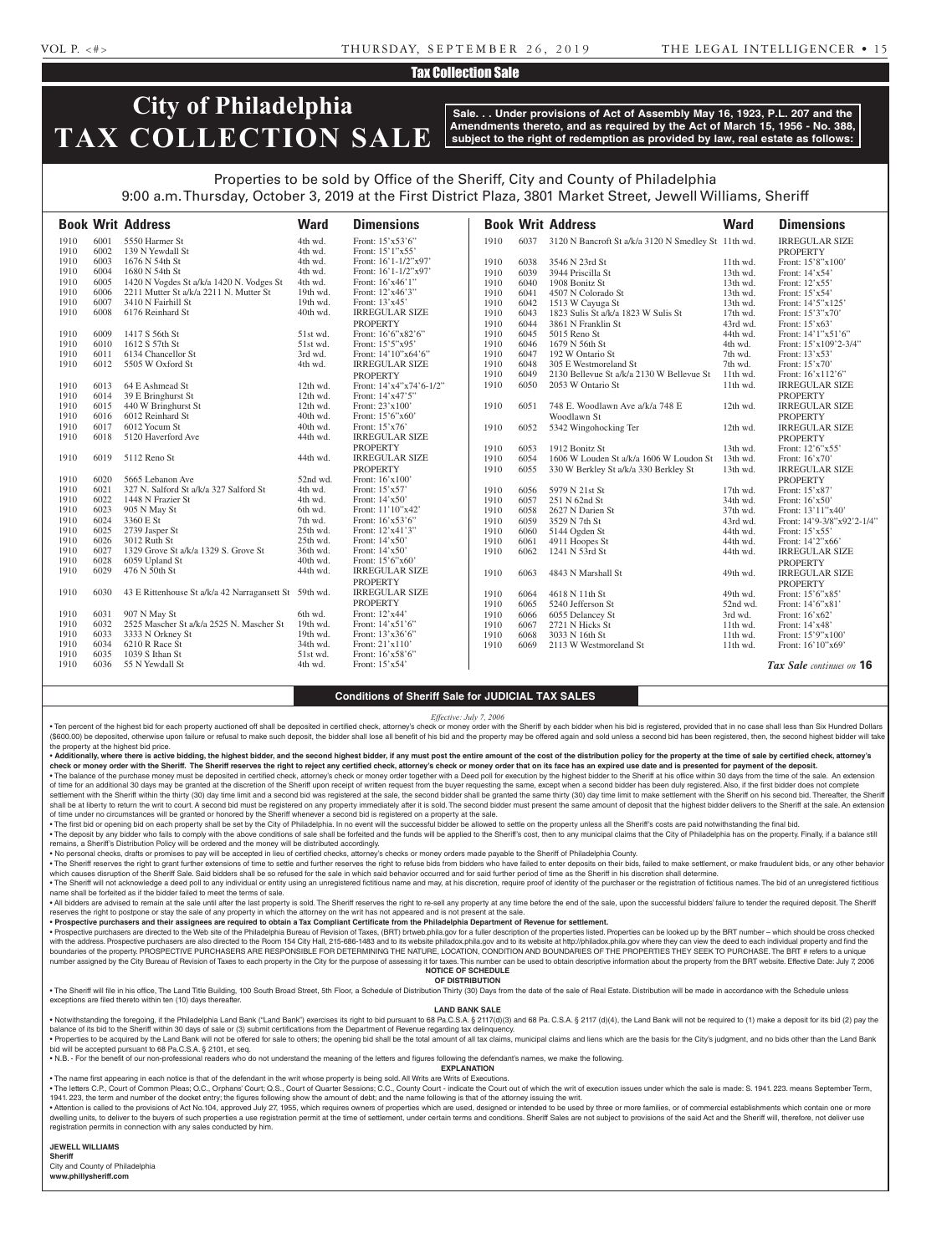# Tax Collection Sale

# **City of Philadelphia TAX COLLECTION SALE**

**Sale. . . Under provisions of Act of Assembly May 16, 1923, P.L. 207 and the Amendments thereto, and as required by the Act of March 15, 1956 - No. 388, subject to the right of redemption as provided by law, real estate as follows:**

# Properties to be sold by Office of the Sheriff, City and County of Philadelphia 9:00 a.m. Thursday, October 3, 2019 at the First District Plaza, 3801 Market Street, Jewell Williams, Sheriff

|      |      | <b>Book Writ Address</b>                              | <b>Ward</b> | <b>Dimensions</b>       |      |      | <b>Book Writ Address</b>                            | <b>Ward</b> | <b>Dimensions</b>          |
|------|------|-------------------------------------------------------|-------------|-------------------------|------|------|-----------------------------------------------------|-------------|----------------------------|
| 1910 | 6001 | 5550 Harmer St                                        | 4th wd.     | Front: 15'x53'6"        | 1910 | 6037 | 3120 N Bancroft St a/k/a 3120 N Smedley St 11th wd. |             | <b>IRREGULAR SIZE</b>      |
| 1910 | 6002 | 139 N Yewdall St                                      | 4th wd.     | Front: 15'1"x55'        |      |      |                                                     |             | <b>PROPERTY</b>            |
| 1910 | 6003 | 1676 N 54th St                                        | 4th wd.     | Front: 16'1-1/2"x97'    | 1910 | 6038 | 3546 N 23rd St                                      | 11th wd.    | Front: 15'8"x100'          |
| 1910 | 6004 | 1680 N 54th St                                        | 4th wd.     | Front: $16'1-1/2''x97'$ | 1910 | 6039 | 3944 Priscilla St                                   | 13th wd.    | Front: 14'x54'             |
| 1910 | 6005 | 1420 N Vogdes St a/k/a 1420 N. Vodges St              | 4th wd.     | Front: 16'x46'1"        | 1910 | 6040 | 1908 Bonitz St                                      | 13th wd.    | Front: 12'x55'             |
| 1910 | 6006 | 2211 Mutter St a/k/a 2211 N. Mutter St                | 19th wd.    | Front: 12'x46'3"        | 1910 | 6041 | 4507 N Colorado St                                  | 13th wd.    | Front: 15'x54'             |
| 1910 | 6007 | 3410 N Fairhill St                                    | 19th wd.    | Front: 13'x45'          | 1910 | 6042 | 1513 W Cayuga St                                    | 13th wd.    | Front: 14'5"x125'          |
| 1910 | 6008 | 6176 Reinhard St                                      | 40th wd.    | <b>IRREGULAR SIZE</b>   | 1910 | 6043 | 1823 Sulis St a/k/a 1823 W Sulis St                 | 17th wd.    | Front: 15'3"x70'           |
|      |      |                                                       |             | <b>PROPERTY</b>         | 1910 | 6044 | 3861 N Franklin St                                  | 43rd wd.    | Front: 15'x63'             |
| 1910 | 6009 | 1417 S 56th St                                        | 51st wd.    | Front: 16'6"x82'6"      | 1910 | 6045 | 5015 Reno St                                        | 44th wd.    | Front: 14'1"x51'6"         |
| 1910 | 6010 | 1612 S 57th St                                        | 51st wd.    | Front: 15'5"x95'        | 1910 | 6046 | 1679 N 56th St                                      | 4th wd.     | Front: 15'x109'2-3/4"      |
| 1910 | 6011 | 6134 Chancellor St                                    | 3rd wd.     | Front: 14'10"x64'6"     | 1910 | 6047 | 192 W Ontario St                                    | 7th wd.     | Front: 13'x53'             |
| 1910 | 6012 | 5505 W Oxford St                                      | 4th wd.     | <b>IRREGULAR SIZE</b>   | 1910 | 6048 | 305 E Westmoreland St                               | 7th wd.     | Front: 15'x70'             |
|      |      |                                                       |             | <b>PROPERTY</b>         | 1910 | 6049 | 2130 Bellevue St a/k/a 2130 W Bellevue St           | 11th wd.    | Front: 16'x112'6"          |
| 1910 | 6013 | 64 E Ashmead St                                       | $12th$ wd.  | Front: 14'x4"x74'6-1/2" | 1910 | 6050 | 2053 W Ontario St                                   | 11th wd.    | <b>IRREGULAR SIZE</b>      |
| 1910 | 6014 | 39 E Bringhurst St                                    | 12th wd.    | Front: 14'x47'5"        |      |      |                                                     |             | <b>PROPERTY</b>            |
| 1910 | 6015 | 440 W Bringhurst St                                   | 12th wd.    | Front: 23'x100'         | 1910 | 6051 | 748 E. Woodlawn Ave a/k/a 748 E                     | 12th wd.    | <b>IRREGULAR SIZE</b>      |
| 1910 | 6016 | 6012 Reinhard St                                      | 40th wd.    | Front: 15'6"x60"        |      |      | Woodlawn St                                         |             | <b>PROPERTY</b>            |
| 1910 | 6017 | 6012 Yocum St                                         | 40th wd.    | Front: 15'x76'          | 1910 | 6052 | 5342 Wingohocking Ter                               | 12th wd.    | <b>IRREGULAR SIZE</b>      |
| 1910 | 6018 | 5120 Haverford Ave                                    | 44th wd.    | <b>IRREGULAR SIZE</b>   |      |      |                                                     |             | <b>PROPERTY</b>            |
|      |      |                                                       |             | <b>PROPERTY</b>         | 1910 | 6053 | 1912 Bonitz St                                      | 13th wd.    | Front: 12'6"x55'           |
| 1910 | 6019 | 5112 Reno St                                          | 44th wd.    | <b>IRREGULAR SIZE</b>   | 1910 | 6054 | 1606 W Louden St a/k/a 1606 W Loudon St             | 13th wd.    | Front: 16'x70'             |
|      |      |                                                       |             | <b>PROPERTY</b>         | 1910 | 6055 | 330 W Berkley St a/k/a 330 Berkley St               | 13th wd.    | <b>IRREGULAR SIZE</b>      |
| 1910 | 6020 | 5665 Lebanon Ave                                      | 52nd wd.    | Front: 16'x100'         |      |      |                                                     |             | <b>PROPERTY</b>            |
| 1910 | 6021 | 327 N. Salford St a/k/a 327 Salford St                | 4th wd.     | Front: $15'x57'$        | 1910 | 6056 | 5979 N 21st St                                      | 17th wd.    | Front: 15'x87'             |
| 1910 | 6022 | 1448 N Frazier St                                     | 4th wd.     | Front: 14'x50'          | 1910 | 6057 | 251 N 62nd St                                       | 34th wd.    | Front: $16'x50'$           |
| 1910 | 6023 | 905 N May St                                          | 6th wd.     | Front: 11'10"x42'       | 1910 | 6058 | 2627 N Darien St                                    | $37th$ wd.  | Front: 13'11"x40'          |
| 1910 | 6024 | 3360 E St                                             | 7th wd.     | Front: 16'x53'6"        | 1910 | 6059 | 3529 N 7th St                                       | 43rd wd.    | Front: 14'9-3/8"x92'2-1/4" |
| 1910 | 6025 | 2739 Jasper St                                        | 25th wd.    | Front: 12'x41'3"        | 1910 | 6060 | 5144 Ogden St                                       | 44th wd.    | Front: 15'x55'             |
| 1910 | 6026 | 3012 Ruth St                                          | 25th wd.    | Front: 14'x50'          | 1910 | 6061 | 4911 Hoopes St                                      | 44th wd.    | Front: 14'2"x66'           |
| 1910 | 6027 | 1329 Grove St a/k/a 1329 S. Grove St                  | 36th wd.    | Front: 14'x50'          | 1910 | 6062 | 1241 N 53rd St                                      | 44th wd.    | <b>IRREGULAR SIZE</b>      |
| 1910 | 6028 | 6059 Upland St                                        | 40th wd.    | Front: 15'6"x60'        |      |      |                                                     |             | <b>PROPERTY</b>            |
| 1910 | 6029 | 476 N 50th St                                         | 44th wd.    | <b>IRREGULAR SIZE</b>   | 1910 | 6063 | 4843 N Marshall St                                  | 49th wd.    | <b>IRREGULAR SIZE</b>      |
|      |      |                                                       |             | <b>PROPERTY</b>         |      |      |                                                     |             | <b>PROPERTY</b>            |
| 1910 | 6030 | 43 E Rittenhouse St a/k/a 42 Narragansett St 59th wd. |             | <b>IRREGULAR SIZE</b>   | 1910 | 6064 | 4618 N 11th St                                      | 49th wd.    | Front: 15'6"x85'           |
|      |      |                                                       |             | <b>PROPERTY</b>         | 1910 | 6065 | 5240 Jefferson St                                   | 52nd wd.    | Front: 14'6"x81'           |
| 1910 | 6031 | 907 N May St                                          | 6th wd.     | Front: 12'x44'          | 1910 | 6066 | 6055 Delancey St                                    | 3rd wd.     | Front: 16'x62'             |
| 1910 | 6032 | 2525 Mascher St a/k/a 2525 N. Mascher St              | 19th wd.    | Front: 14'x51'6"        | 1910 | 6067 | 2721 N Hicks St                                     | 11th wd.    | Front: 14'x48'             |
| 1910 | 6033 | 3333 N Orkney St                                      | 19th wd.    | Front: 13'x36'6"        | 1910 | 6068 | 3033 N 16th St                                      | 11th wd.    | Front: 15'9"x100'          |
| 1910 | 6034 | 6210 R Race St                                        | 34th wd.    | Front: 21'x110'         | 1910 | 6069 | 2113 W Westmoreland St                              | 11th wd.    | Front: 16'10"x69'          |
| 1910 | 6035 | 1039 S Ithan St                                       | 51st wd.    | Front: 16'x58'6"        |      |      |                                                     |             |                            |
| 1910 | 6036 | 55 N Yewdall St                                       | 4th wd.     | Front: 15'x54'          |      |      |                                                     |             | Tax Sale continues on 16   |
|      |      |                                                       |             |                         |      |      |                                                     |             |                            |

# **Conditions of Sheriff Sale for JUDICIAL TAX SALES**

#### *Effective: July 7, 2006*

· Ten percent of the highest bid for each property auctioned off shall be deposited in certified check, attorney's check or money order with the Sheriff by each bidder when his bid is registered, provided that in no case s (\$600.00) be deposited, otherwise upon failure or refusal to make such deposit, the bidder shall lose all benefit of his bid and the property may be offered again and sold unless a second bid has been registered, then, the the property at the highest bid price.

. Additionally, where there is active bidding, the highest bidder, and the second highest bidder, if any must post the entire amount of the cost of the distribution policy for the property at the time of sale by certified check or money order with the Sheriff. The Sheriff reserves the right to reject any certified check, attorney's check or money order that on its face has an expired use date and is presented for payment of the deposit. . The balance of the purchase money must be deposited in certified check, attorney's check or money order together with a Deed poll for execution by the highest bidder to the Sheriff at his office within 30 days from the t of time for an additional 30 days may be granted at the discretion of the Sheriff upon receipt of written request from the buyer requesting the same, except when a second bidder has been duly registered. Also, if the first

settlement with the Sheriff within the thirty (30) day time limit and a second bid was registered at the sale, the second bidder shall be granted the same thirty (30) day time limit to make settlement with the Sheriff on h shall be at liberty to return the writ to court. A second bid must be registered on any property immediately after it is sold. The second bidder must present the same amount of deposit that the highest bidder delivers to t of time under no circumstances will be granted or honored by the Sheriff whenever a second bid is registered on a property at the sale.

. The first bid or opening bid on each property shall be set by the City of Philadelphia. In no event will the successful bidder be allowed to settle on the property unless all the Sheriff's costs are paid notwithstanding . The deposit by any bidder who fails to comply with the above conditions of sale shall be forfeited and the funds will be applied to the Sheriff's cost, then to any municipal claims that the City of Philadelphia has on th

remains, a Sheriff's Distribution Policy will be ordered and the money will be distributed accordingly.

• No personal checks, drafts or promises to pay will be accepted in lieu of certified checks, attorney's checks or money orders made payable to the Sheriff of Philadelphia County.

. The Sheriff reserves the right to grant further extensions of time to settle and further reserves the right to refuse bids from bidders who have failed to enter deposits on their bids, failed to make settlement, or make which causes disruption of the Sheriff Sale. Said bidders shall be so refused for the sale in which said behavior occurred and for said further period of time as the Sheriff in his discretion shall determine. . The Sheriff will not acknowledge a deed poll to any individual or entity using an unregistered fictitious name and may, at his discretion, require proof of identity of the purchaser or the registration of fictitious name

name shall be forfeited as if the bidder failed to meet the terms of sale. . All bidders are advised to remain at the sale until after the last property is sold. The Sheriff reserves the right to re-sell any property at any time before the end of the sale, upon the successful bidders' failure to reserves the right to postpone or stay the sale of any property in which the attorney on the writ has not appeared and is not present at the sale

• **Prospective purchasers and their assignees are required to obtain a Tax Compliant Certificate from the Philadelphia Department of Revenue for settlement.**

. Prospective purchasers are directed to the Web site of the Philadelphia Bureau of Revision of Taxes, (BRT) brtweb.phila.gov for a fuller description of the properties listed. Properties can be looked up by the BRT number with the address. Prospective purchasers are also directed to the Room 154 City Hall, 215-686-1483 and to its website philadox.phila.gov and to its website at http://philadox.phila.gov where they can view the deed to each boundaries of the property. PROSPECTIVE PURCHASERS ARE RESPONSIBLE FOR DETERMINING THE NATURE, LOCATION, CONDITION AND BOUNDARIES OF THE PROPERTIES THEY SEEK TO PURCHASE. The BRT # refers to a unique number assigned by the City Bureau of Revision of Taxes to each property in the City for the purpose of assessing it for taxes. This number can be used to obtain descriptive information about the property from the BRT webs **NOTICE OF SCHEDULE**

### **OF DISTRIBUTION**

. The Sheriff will file in his office, The Land Title Building, 100 South Broad Street, 5th Floor, a Schedule of Distribution Thirty (30) Days from the date of the sale of Real Estate. Distribution will be made in accordan exceptions are filed thereto within ten (10) days thereafter

### **LAND BANK SALE**

. Notwithstanding the foregoing, if the Philadelphia Land Bank ("Land Bank") exercises its right to bid pursuant to 68 Pa.C.S.A. § 2117(d)(3) and 68 Pa.C.S.A. § 2117 (d)(4), the Land Bank will not be required to (1) make a balance of its bid to the Sheriff within 30 days of sale or (3) submit certifications from the Department of Revenue regarding tax delinquency.

· Properties to be acquired by the Land Bank will not be offered for sale to others; the opening bid shall be the total amount of all tax claims, municipal claims and liens which are the basis for the City's judgment, and bid will be accepted pursuant to 68 Pa.C.S.A. § 2101, et seq.

• N.B. - For the benefit of our non-professional readers who do not understand the meaning of the letters and figures following the defendant's names, we make the following. **EXPLANATION** 

• The name first appearing in each notice is that of the defendant in the writ whose property is being sold. All Writs are Writs of Executions.

• The letters C.P., Court of Common Pleas: O.C., Orphans' Court: Q.S., Court of Quarter Sessions: C.C., County Court - indicate the Court out of which the writ of execution issues under which the sale is made: S. 1941, 223 1941. 223, the term and number of the docket entry; the figures following show the amount of debt; and the name following is that of the attorney issuing the writ.

Attention is called to the provisions of Act No.104, approved July 27, 1955, which requires owners of properties which are used, designed or intended to be used by three or more families, or of commercial establishments wh dwelling units, to deliver to the buyers of such properties a use registration permit at the time of settlement, under certain terms and conditions. Sheriff Sales are not subject to provisions of the said Act and the Sheri registration permits in connection with any sales conducted by him.

## **JEWELL WILLIAMS**

**Sheriff**  City and County of Philadelphia **www.phillysheriff.com**